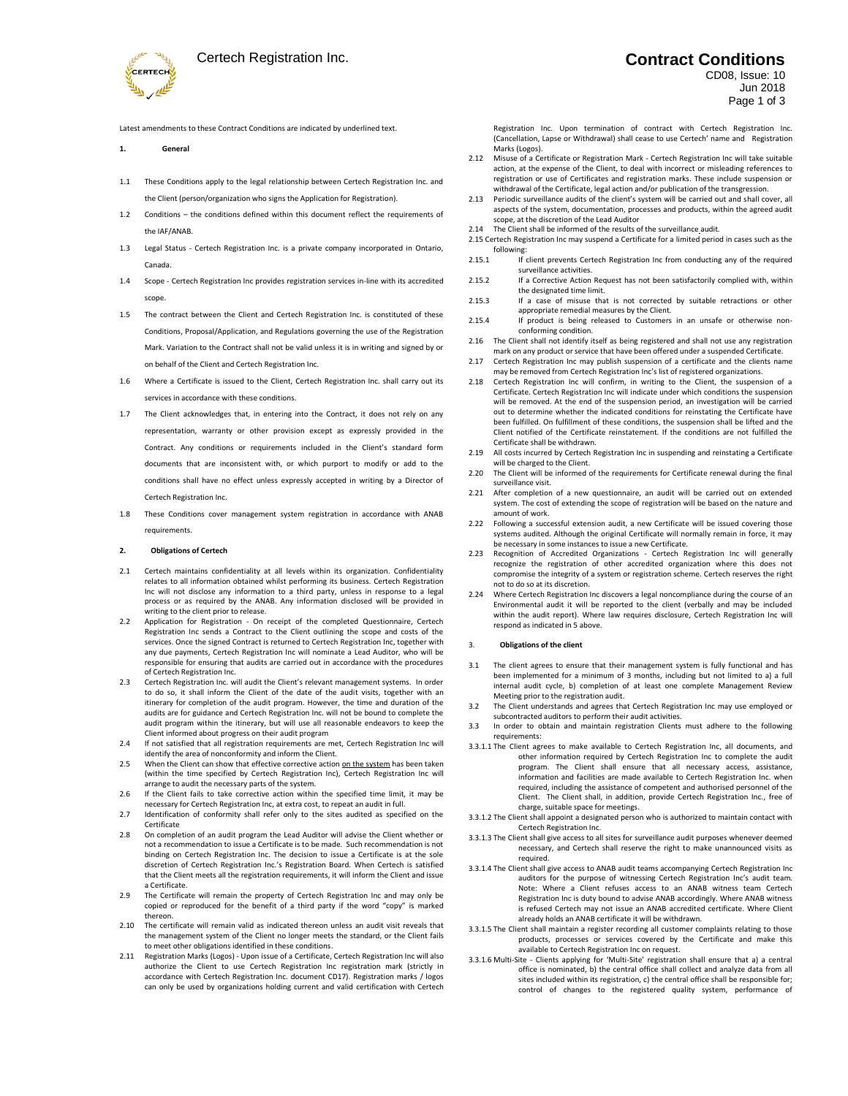

Latest amendments to these Contract Conditions are indicated by underlined text.

- **1. General**
- 1.1 These Conditions apply to the legal relationship between Certech Registration Inc. and the Client (person/organization who signs the Application for Registration).
- 1.2 Conditions the conditions defined within this document reflect the requirements of the IAF/ANAB.
- 1.3 Legal Status Certech Registration Inc. is a private company incorporated in Ontario, Canada.
- 1.4 Scope Certech Registration Inc provides registration services in-line with its accredited scope.
- 1.5 The contract between the Client and Certech Registration Inc. is constituted of these Conditions, Proposal/Application, and Regulations governing the use of the Registration Mark. Variation to the Contract shall not be valid unless it is in writing and signed by or on behalf of the Client and Certech Registration Inc.
- 1.6 Where a Certificate is issued to the Client, Certech Registration Inc. shall carry out its services in accordance with these conditions.
- 1.7 The Client acknowledges that, in entering into the Contract, it does not rely on any representation, warranty or other provision except as expressly provided in the Contract. Any conditions or requirements included in the Client's standard form documents that are inconsistent with, or which purport to modify or add to the conditions shall have no effect unless expressly accepted in writing by a Director of Certech Registration Inc.
- 1.8 These Conditions cover management system registration in accordance with ANAB requirements.

### **2. Obligations of Certech**

- 2.1 Certech maintains confidentiality at all levels within its organization. Confidentiality relates to all information obtained whilst performing its business. Certech Registration Inc will not disclose any information to a third party, unless in response to a legal process or as required by the ANAB. Any information disclosed will be provided in writing to the client prior to release.
- 2.2 Application for Registration On receipt of the completed Questionnaire, Certech Registration Inc sends a Contract to the Client outlining the scope and costs of the services. Once the signed Contract is returned to Certech Registration Inc, together with any due payments, Certech Registration Inc will nominate a Lead Auditor, who will be responsible for ensuring that audits are carried out in accordance with the procedures of Certech Registration Inc.
- 2.3 Certech Registration Inc. will audit the Client's relevant management systems. In order to do so, it shall inform the Client of the date of the audit visits, together with an itinerary for completion of the audit program. However, the time and duration of the audits are for guidance and Certech Registration Inc. will not be bound to complete the audit program within the itinerary, but will use all reasonable endeavors to keep the Client informed about progress on their audit program
- 2.4 If not satisfied that all registration requirements are met, Certech Registration Inc will identify the area of nonconformity and inform the Client.
- 2.5 When the Client can show that effective corrective action on the system has been taken (within the time specified by Certech Registration Inc), Certech Registration Inc will arrange to audit the necessary parts of the system.
- 2.6 If the Client fails to take corrective action within the specified time limit, it may be necessary for Certech Registration Inc, at extra cost, to repeat an audit in full.
- 2.7 Identification of conformity shall refer only to the sites audited as specified on the Certificate
- 2.8 On completion of an audit program the Lead Auditor will advise the Client whether or not a recommendation to issue a Certificate is to be made. Such recommendation is not binding on Certech Registration Inc. The decision to issue a Certificate is at the sole discretion of Certech Registration Inc.'s Registration Board. When Certech is satisfied that the Client meets all the registration requirements, it will inform the Client and issue a Certificate.
- 2.9 The Certificate will remain the property of Certech Registration Inc and may only be copied or reproduced for the benefit of a third party if the word "copy" is marked thereon.
- 2.10 The certificate will remain valid as indicated thereon unless an audit visit reveals that the management system of the Client no longer meets the standard, or the Client fails to meet other obligations identified in these conditions.
- 2.11 Registration Marks (Logos) Upon issue of a Certificate, Certech Registration Inc will also authorize the Client to use Certech Registration Inc registration mark (strictly in accordance with Certech Registration Inc. document CD17). Registration marks / logos can only be used by organizations holding current and valid certification with Certech

# Certech Registration Inc. **Contract Conditions**

## CD08, Issue: 10 Jun 2018 Page 1 of 3

Registration Inc. Upon termination of contract with Certech Registration Inc. (Cancellation, Lapse or Withdrawal) shall cease to use Certech' name and Registration Marks (Logos).

- 2.12 Misuse of a Certificate or Registration Mark Certech Registration Inc will take suitable action, at the expense of the Client, to deal with incorrect or misleading references to registration or use of Certificates and registration marks. These include suspension or withdrawal of the Certificate, legal action and/or publication of the transgression.
- 2.13 Periodic surveillance audits of the client's system will be carried out and shall cover, all aspects of the system, documentation, processes and products, within the agreed audit scope, at the discretion of the Lead Auditor
- 2.14 The Client shall be informed of the results of the surveillance audit.
- 2.15 Certech Registration Inc may suspend a Certificate for a limited period in cases such as the following: 2.15.1 If client prevents Certech Registration Inc from conducting any of the required
- surveillance activities. 2.15.2 If a Corrective Action Request has not been satisfactorily complied with, within
- the designated time limit. 2.15.3 If a case of misuse that is not corrected by suitable retractions or other
- appropriate remedial measures by the Client. 2.15.4 If product is being released to Customers in an unsafe or otherwise non-
- conforming condition. 2.16 The Client shall not identify itself as being registered and shall not use any registration
- mark on any product or service that have been offered under a suspended Certificate. Certech Registration Inc may publish suspension of a certificate and the clients name
- may be removed from Certech Registration Inc's list of registered organizations.
- 2.18 Certech Registration Inc will confirm, in writing to the Client, the suspension of a Certificate. Certech Registration Inc will indicate under which conditions the suspension will be removed. At the end of the suspension period, an investigation will be carried out to determine whether the indicated conditions for reinstating the Certificate have been fulfilled. On fulfillment of these conditions, the suspension shall be lifted and the Client notified of the Certificate reinstatement. If the conditions are not fulfilled the Certificate shall be withdrawn.
- 2.19 All costs incurred by Certech Registration Inc in suspending and reinstating a Certificate will be charged to the Client.
- 2.20 The Client will be informed of the requirements for Certificate renewal during the final surveillance visit.
- 2.21 After completion of a new questionnaire, an audit will be carried out on extended system. The cost of extending the scope of registration will be based on the nature and amount of work.
- 2.22 Following a successful extension audit, a new Certificate will be issued covering those systems audited. Although the original Certificate will normally remain in force, it may be necessary in some instances to issue a new Certificate.
- 2.23 Recognition of Accredited Organizations Certech Registration Inc will generally recognize the registration of other accredited organization where this does not compromise the integrity of a system or registration scheme. Certech reserves the right not to do so at its discretion.
- 2.24 Where Certech Registration Inc discovers a legal noncompliance during the course of an Environmental audit it will be reported to the client (verbally and may be included within the audit report). Where law requires disclosure, Certech Registration Inc will respond as indicated in 5 above.

### 3. **Obligations of the client**

- 3.1 The client agrees to ensure that their management system is fully functional and has been implemented for a minimum of 3 months, including but not limited to a) a full internal audit cycle, b) completion of at least one complete Management Review Meeting prior to the registration audit.
- 3.2 The Client understands and agrees that Certech Registration Inc may use employed or subcontracted auditors to perform their audit activities.
- In order to obtain and maintain registration Clients must adhere to the following requirements:
- 3.3.1.1 The Client agrees to make available to Certech Registration Inc, all documents, and other information required by Certech Registration Inc to complete the audit program. The Client shall ensure that all necessary access, assistance, information and facilities are made available to Certech Registration Inc. when required, including the assistance of competent and authorised personnel of the Client. The Client shall, in addition, provide Certech Registration Inc., free of charge, suitable space for meetings.
- 3.3.1.2 The Client shall appoint a designated person who is authorized to maintain contact with Certech Registration Inc.
- 3.3.1.3 The Client shall give access to all sites for surveillance audit purposes whenever deemed necessary, and Certech shall reserve the right to make unannounced visits as required.
- 3.3.1.4 The Client shall give access to ANAB audit teams accompanying Certech Registration Inc auditors for the purpose of witnessing Certech Registration Inc's audit team. Note: Where a Client refuses access to an ANAB witness team Certech Registration Inc is duty bound to advise ANAB accordingly. Where ANAB witness is refused Certech may not issue an ANAB accredited certificate. Where Client already holds an ANAB certificate it will be withdrawn.
- 3.3.1.5 The Client shall maintain a register recording all customer complaints relating to those products, processes or services covered by the Certificate and make this available to Certech Registration Inc on request.
- 3.3.1.6 Multi-Site Clients applying for 'Multi-Site' registration shall ensure that a) a central office is nominated, b) the central office shall collect and analyze data from all sites included within its registration, c) the central office shall be responsible for; control of changes to the registered quality system, performance of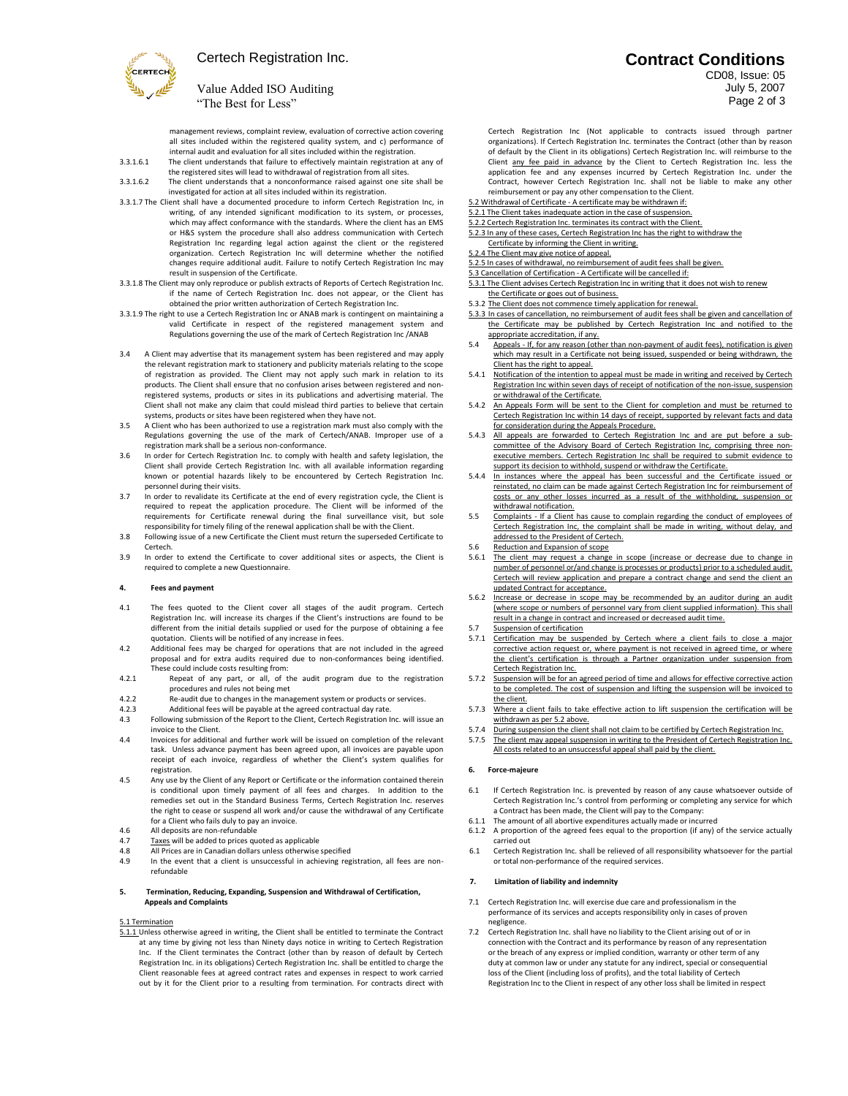

# Certech Registration Inc.

# Value Added ISO Auditing "The Best for Less"

management reviews, complaint review, evaluation of corrective action covering all sites included within the registered quality system, and c) performance of internal audit and evaluation for all sites included within the registration.

3.3.1.6.1 The client understands that failure to effectively maintain registration at any of the registered sites will lead to withdrawal of registration from all sites.

3.3.1.6.2 The client understands that a nonconformance raised against one site shall be investigated for action at all sites included within its registration.

- 3.3.1.7 The Client shall have a documented procedure to inform Certech Registration Inc, in writing, of any intended significant modification to its system, or processes, which may affect conformance with the standards. Where the client has an EMS or H&S system the procedure shall also address communication with Certech Registration Inc regarding legal action against the client or the registered organization. Certech Registration Inc will determine whether the notified changes require additional audit. Failure to notify Certech Registration Inc may result in suspension of the Certificate.
- 3.3.1.8 The Client may only reproduce or publish extracts of Reports of Certech Registration Inc. if the name of Certech Registration Inc. does not appear, or the Client has obtained the prior written authorization of Certech Registration Inc.
- 3.3.1.9 The right to use a Certech Registration Inc or ANAB mark is contingent on maintaining a valid Certificate in respect of the registered management system and Regulations governing the use of the mark of Certech Registration Inc /ANAB
- 3.4 A Client may advertise that its management system has been registered and may apply the relevant registration mark to stationery and publicity materials relating to the scope of registration as provided. The Client may not apply such mark in relation to its products. The Client shall ensure that no confusion arises between registered and nonregistered systems, products or sites in its publications and advertising material. The Client shall not make any claim that could mislead third parties to believe that certain systems, products or sites have been registered when they have not.
- 3.5 A Client who has been authorized to use a registration mark must also comply with the Regulations governing the use of the mark of Certech/ANAB. Improper use of a registration mark shall be a serious non-conformance.
- 3.6 In order for Certech Registration Inc. to comply with health and safety legislation, the Client shall provide Certech Registration Inc. with all available information regarding known or potential hazards likely to be encountered by Certech Registration Inc. personnel during their visits.
- 3.7 In order to revalidate its Certificate at the end of every registration cycle, the Client is required to repeat the application procedure. The Client will be informed of the requirements for Certificate renewal during the final surveillance visit, but sole responsibility for timely filing of the renewal application shall be with the Client.
- 3.8 Following issue of a new Certificate the Client must return the superseded Certificate to Certech.
- 3.9 In order to extend the Certificate to cover additional sites or aspects, the Client is required to complete a new Questionnaire.

### **4. Fees and payment**

- 4.1 The fees quoted to the Client cover all stages of the audit program. Certech Registration Inc. will increase its charges if the Client's instructions are found to be different from the initial details supplied or used for the purpose of obtaining a fee quotation. Clients will be notified of any increase in fees.
- 4.2 Additional fees may be charged for operations that are not included in the agreed proposal and for extra audits required due to non-conformances being identified. These could include costs resulting from:
- 4.2.1 Repeat of any part, or all, of the audit program due to the registration procedures and rules not being met
- 4.2.2 Re-audit due to changes in the management system or products or services.<br>4.2.3 Additional fees will be payable at the agreed contractual day rate.
- 4.2.3 Additional fees will be payable at the agreed contractual day rate.<br>4.3 Following submission of the Report to the Client. Certech Registration In
- Following submission of the Report to the Client, Certech Registration Inc. will issue an invoice to the Client.
- 4.4 Invoices for additional and further work will be issued on completion of the relevant task. Unless advance payment has been agreed upon, all invoices are payable upon receipt of each invoice, regardless of whether the Client's system qualifies for registration.
- 4.5 Any use by the Client of any Report or Certificate or the information contained therein is conditional upon timely payment of all fees and charges. In addition to the remedies set out in the Standard Business Terms, Certech Registration Inc. reserves the right to cease or suspend all work and/or cause the withdrawal of any Certificate for a Client who fails duly to pay an invoice.
- 4.6 All deposits are non-refundable<br>4.7 Taxes will be added to prices qu
- 4.7 Taxes will be added to prices quoted as applicable<br>4.8 All Prices are in Canadian dollars unless otherwise
- 4.8 All Prices are in Canadian dollars unless otherwise specified<br>4.9 In the event that a client is unsuccessful in achieving regi In the event that a client is unsuccessful in achieving registration, all fees are non-
- refundable

## **5. Termination, Reducing, Expanding, Suspension and Withdrawal of Certification, Appeals and Complaints**

#### 5.1 Termination

5.1.1 Unless otherwise agreed in writing, the Client shall be entitled to terminate the Contract at any time by giving not less than Ninety days notice in writing to Certech Registration Inc. If the Client terminates the Contract (other than by reason of default by Certech Registration Inc. in its obligations) Certech Registration Inc. shall be entitled to charge the Client reasonable fees at agreed contract rates and expenses in respect to work carried out by it for the Client prior to a resulting from termination. For contracts direct with

# **Contract Conditions**

## CD08, Issue: 05 July 5, 2007 Page 2 of 3

- Certech Registration Inc (Not applicable to contracts issued through partner organizations). If Certech Registration Inc. terminates the Contract (other than by reason of default by the Client in its obligations) Certech Registration Inc. will reimburse to the Client <u>any fee paid in advance</u> by the Client to Certech Registration Inc. less the<br>application fee and any expenses incurred by Certech Registration Inc. under the Contract, however Certech Registration Inc. shall not be liable to make any other reimbursement or pay any other compensation to the Client.
- 5.2 Withdrawal of Certificate A certificate may be withdrawn if:
- 5.2.1 The Client takes inadequate action in the case of suspension.
- 5.2.2 Certech Registration Inc. terminates its contract with the Client.
- 5.2.3 In any of these cases, Certech Registration Inc has the right to withdraw the Certificate by informing the Client in writing.
- 5.2.4 The Client may give notice of appeal.
- 5.2.5 In cases of withdrawal, no reimbursement of audit fees shall be given.
- 5.3 Cancellation of Certification A Certificate will be cancelled if:
- 5.3.1 The Client advises Certech Registration Inc in writing that it does not wish to renew the Certificate or goes out of business.
- 5.3.2 The Client does not commence timely application for renewal.
- 5.3.3 In cases of cancellation, no reimbursement of audit fees shall be given and cancellation of the Certificate may be published by Certech Registration Inc and notified to the
- appropriate accreditation, if any.<br>5.4 Appeals If, for any reason (other than non-payment of audit fees), notification is given which may result in a Certificate not being issued, suspended or being withdrawn, the Client has the right to appeal.
- 5.4.1 Notification of the intention to appeal must be made in writing and received by Certech Registration Inc within seven days of receipt of notification of the non-issue, suspension or withdrawal of the Certificate.
- 5.4.2 An Appeals Form will be sent to the Client for completion and must be returned to Certech Registration Inc within 14 days of receipt, supported by relevant facts and data for consideration during the Appeals Procedure.
- 5.4.3 All appeals are forwarded to Certech Registration Inc and are put before a subcommittee of the Advisory Board of Certech Registration Inc, comprising three nonexecutive members. Certech Registration Inc shall be required to submit evidence to upport its decision to withhold, suspend or withdraw the Certificate.
- 5.4.4 In instances where the appeal has been successful and the Certificate issued or reinstated, no claim can be made against Certech Registration Inc for reimbursement of costs or any other losses incurred as a result of the withholding, suspension or withdrawal notification.
- 5.5 Complaints If a Client has cause to complain regarding the conduct of employees of Certech Registration Inc, the complaint shall be made in writing, without delay, and addressed to the President of Certech.
- 5.6 Reduction and Expansion of scope<br>5.6.1 The client may request a change
- The client may request a change in scope (increase or decrease due to change in number of personnel or/and change is processes or products) prior to a scheduled audit. Certech will review application and prepare a contract change and send the client an updated Contract for acceptance.
- 5.6.2 Increase or decrease in scope may be recommended by an auditor during an audit (where scope or numbers of personnel vary from client supplied information). This shall result in a change in contract and increased or decreased audit time.

## Suspension of certification

- 5.7.1 Certification may be suspended by Certech where a client fails to close a major corrective action request or, where payment is not received in agreed time, or where the client's certification is through a Partner organization under suspension from Certech Registration Inc.
- Suspension will be for an agreed period of time and allows for effective corrective action to be completed. The cost of suspension and lifting the suspension will be invoiced to the client.
- 5.7.3 Where a client fails to take effective action to lift suspension the certification will be withdrawn as per 5.2 above.
- 5.7.4 During suspension the client shall not claim to be certified by Certech Registration Inc. 5.7.5 The client may appeal suspension in writing to the President of Certech Registration Inc. All costs related to an unsuccessful appeal shall paid by the client.

#### **6. Force-majeure**

- 6.1 If Certech Registration Inc. is prevented by reason of any cause whatsoever outside of Certech Registration Inc.'s control from performing or completing any service for which a Contract has been made, the Client will pay to the Company:
- 6.1.1 The amount of all abortive expenditures actually made or incurred 6.1.2 A proportion of the agreed fees equal to the proportion (if any) of the service actually carried out
- 6.1 Certech Registration Inc. shall be relieved of all responsibility whatsoever for the partial or total non-performance of the required services.

## **7. Limitation of liability and indemnity**

- Certech Registration Inc. will exercise due care and professionalism in the performance of its services and accepts responsibility only in cases of proven negligence.
- 7.2 Certech Registration Inc. shall have no liability to the Client arising out of or in connection with the Contract and its performance by reason of any representation or the breach of any express or implied condition, warranty or other term of any duty at common law or under any statute for any indirect, special or consequential loss of the Client (including loss of profits), and the total liability of Certech Registration Inc to the Client in respect of any other loss shall be limited in respect